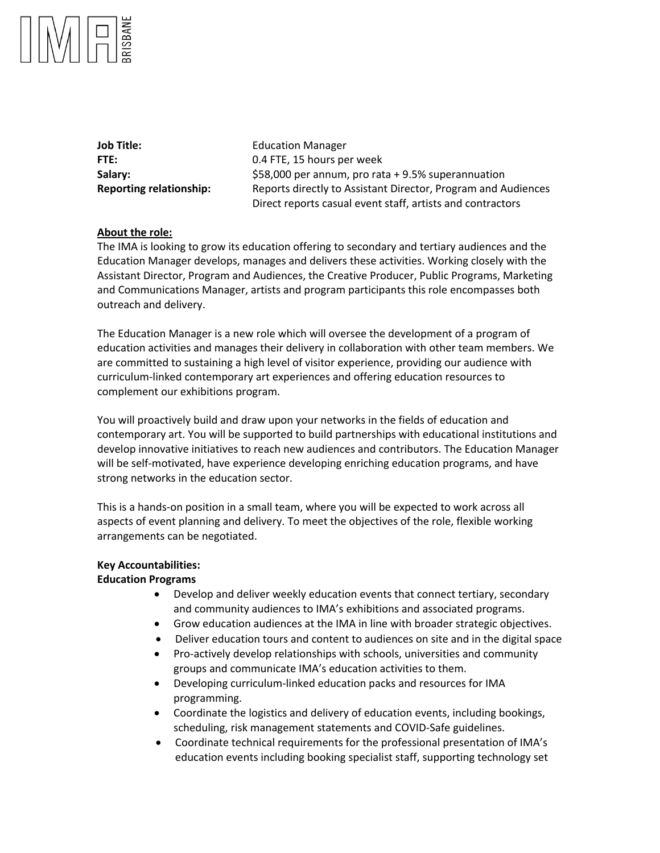**Job Title:** Education Manager

**FTE:** 0.4 FTE, 15 hours per week **Salary:** \$58,000 per annum, pro rata + 9.5% superannuation **Reporting relationship:** Reports directly to Assistant Director, Program and Audiences Direct reports casual event staff, artists and contractors

# **About the role:**

The IMA is looking to grow its education offering to secondary and tertiary audiences and the Education Manager develops, manages and delivers these activities. Working closely with the Assistant Director, Program and Audiences, the Creative Producer, Public Programs, Marketing and Communications Manager, artists and program participants this role encompasses both outreach and delivery.

The Education Manager is a new role which will oversee the development of a program of education activities and manages their delivery in collaboration with other team members. We are committed to sustaining a high level of visitor experience, providing our audience with curriculum-linked contemporary art experiences and offering education resources to complement our exhibitions program.

You will proactively build and draw upon your networks in the fields of education and contemporary art. You will be supported to build partnerships with educational institutions and develop innovative initiatives to reach new audiences and contributors. The Education Manager will be self-motivated, have experience developing enriching education programs, and have strong networks in the education sector.

This is a hands-on position in a small team, where you will be expected to work across all aspects of event planning and delivery. To meet the objectives of the role, flexible working arrangements can be negotiated.

# **Key Accountabilities:**

# **Education Programs**

- Develop and deliver weekly education events that connect tertiary, secondary and community audiences to IMA's exhibitions and associated programs.
- Grow education audiences at the IMA in line with broader strategic objectives.
- Deliver education tours and content to audiences on site and in the digital space
- Pro-actively develop relationships with schools, universities and community groups and communicate IMA's education activities to them.
- Developing curriculum-linked education packs and resources for IMA programming.
- Coordinate the logistics and delivery of education events, including bookings, scheduling, risk management statements and COVID-Safe guidelines.
- Coordinate technical requirements for the professional presentation of IMA's education events including booking specialist staff, supporting technology set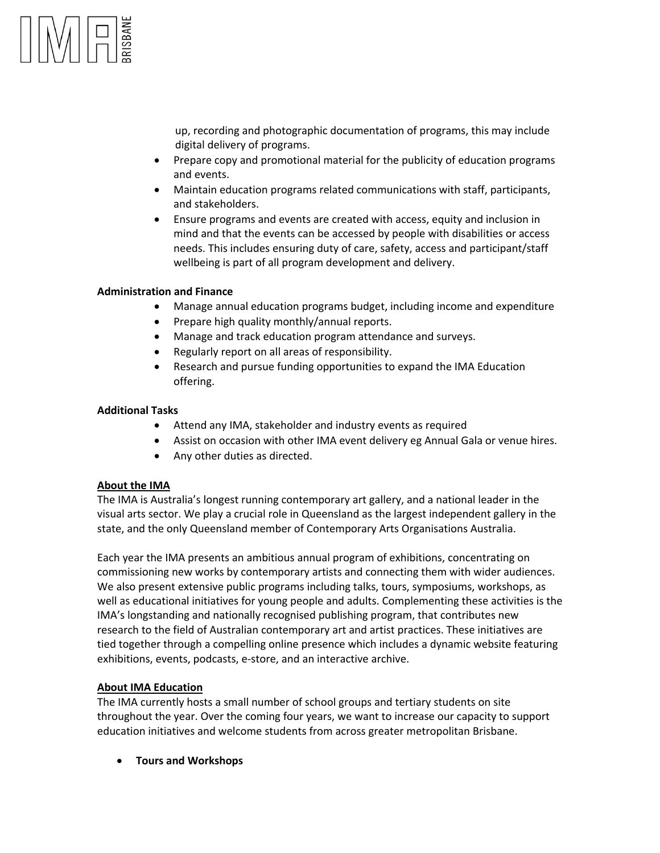up, recording and photographic documentation of programs, this may include digital delivery of programs.

- Prepare copy and promotional material for the publicity of education programs and events.
- Maintain education programs related communications with staff, participants, and stakeholders.
- Ensure programs and events are created with access, equity and inclusion in mind and that the events can be accessed by people with disabilities or access needs. This includes ensuring duty of care, safety, access and participant/staff wellbeing is part of all program development and delivery.

## **Administration and Finance**

- Manage annual education programs budget, including income and expenditure
- Prepare high quality monthly/annual reports.
- Manage and track education program attendance and surveys.
- Regularly report on all areas of responsibility.
- Research and pursue funding opportunities to expand the IMA Education offering.

### **Additional Tasks**

- Attend any IMA, stakeholder and industry events as required
- Assist on occasion with other IMA event delivery eg Annual Gala or venue hires.
- Any other duties as directed.

### **About the IMA**

The IMA is Australia's longest running contemporary art gallery, and a national leader in the visual arts sector. We play a crucial role in Queensland as the largest independent gallery in the state, and the only Queensland member of Contemporary Arts Organisations Australia.

Each year the IMA presents an ambitious annual program of exhibitions, concentrating on commissioning new works by contemporary artists and connecting them with wider audiences. We also present extensive public programs including talks, tours, symposiums, workshops, as well as educational initiatives for young people and adults. Complementing these activities is the IMA's longstanding and nationally recognised publishing program, that contributes new research to the field of Australian contemporary art and artist practices. These initiatives are tied together through a compelling online presence which includes a dynamic website featuring exhibitions, events, podcasts, e-store, and an interactive archive.

# **About IMA Education**

The IMA currently hosts a small number of school groups and tertiary students on site throughout the year. Over the coming four years, we want to increase our capacity to support education initiatives and welcome students from across greater metropolitan Brisbane.

• **Tours and Workshops**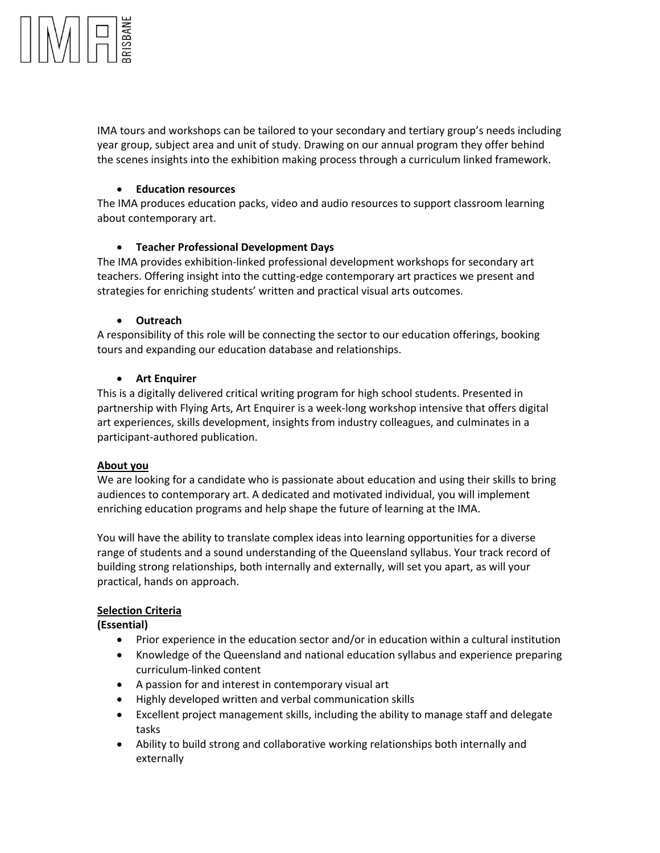

IMA tours and workshops can be tailored to your secondary and tertiary group's needs including year group, subject area and unit of study. Drawing on our annual program they offer behind the scenes insights into the exhibition making process through a curriculum linked framework.

## • **Education resources**

The IMA produces education packs, video and audio resources to support classroom learning about contemporary art.

## • **Teacher Professional Development Days**

The IMA provides exhibition-linked professional development workshops for secondary art teachers. Offering insight into the cutting-edge contemporary art practices we present and strategies for enriching students' written and practical visual arts outcomes.

## • **Outreach**

A responsibility of this role will be connecting the sector to our education offerings, booking tours and expanding our education database and relationships.

## • **Art Enquirer**

This is a digitally delivered critical writing program for high school students. Presented in partnership with Flying Arts, Art Enquirer is a week-long workshop intensive that offers digital art experiences, skills development, insights from industry colleagues, and culminates in a participant-authored publication.

### **About you**

We are looking for a candidate who is passionate about education and using their skills to bring audiences to contemporary art. A dedicated and motivated individual, you will implement enriching education programs and help shape the future of learning at the IMA.

You will have the ability to translate complex ideas into learning opportunities for a diverse range of students and a sound understanding of the Queensland syllabus. Your track record of building strong relationships, both internally and externally, will set you apart, as will your practical, hands on approach.

# **Selection Criteria**

### **(Essential)**

- Prior experience in the education sector and/or in education within a cultural institution
- Knowledge of the Queensland and national education syllabus and experience preparing curriculum-linked content
- A passion for and interest in contemporary visual art
- Highly developed written and verbal communication skills
- Excellent project management skills, including the ability to manage staff and delegate tasks
- Ability to build strong and collaborative working relationships both internally and externally